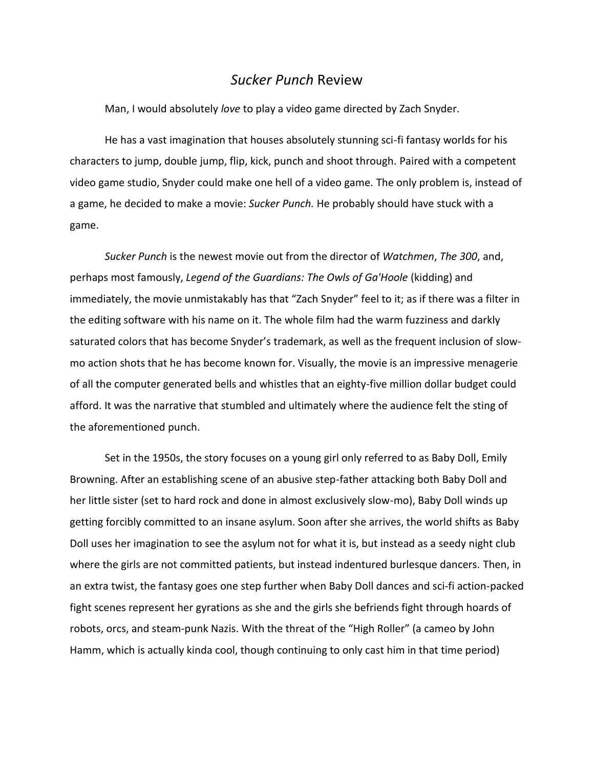## *Sucker Punch* Review

Man, I would absolutely *love* to play a video game directed by Zach Snyder.

He has a vast imagination that houses absolutely stunning sci-fi fantasy worlds for his characters to jump, double jump, flip, kick, punch and shoot through. Paired with a competent video game studio, Snyder could make one hell of a video game. The only problem is, instead of a game, he decided to make a movie: *Sucker Punch.* He probably should have stuck with a game.

*Sucker Punch* is the newest movie out from the director of *Watchmen*, *The 300*, and, perhaps most famously, *Legend of the Guardians: The Owls of Ga'Hoole* (kidding) and immediately, the movie unmistakably has that "Zach Snyder" feel to it; as if there was a filter in the editing software with his name on it. The whole film had the warm fuzziness and darkly saturated colors that has become Snyder's trademark, as well as the frequent inclusion of slowmo action shots that he has become known for. Visually, the movie is an impressive menagerie of all the computer generated bells and whistles that an eighty-five million dollar budget could afford. It was the narrative that stumbled and ultimately where the audience felt the sting of the aforementioned punch.

Set in the 1950s, the story focuses on a young girl only referred to as Baby Doll, Emily Browning. After an establishing scene of an abusive step-father attacking both Baby Doll and her little sister (set to hard rock and done in almost exclusively slow-mo), Baby Doll winds up getting forcibly committed to an insane asylum. Soon after she arrives, the world shifts as Baby Doll uses her imagination to see the asylum not for what it is, but instead as a seedy night club where the girls are not committed patients, but instead indentured burlesque dancers. Then, in an extra twist, the fantasy goes one step further when Baby Doll dances and sci-fi action-packed fight scenes represent her gyrations as she and the girls she befriends fight through hoards of robots, orcs, and steam-punk Nazis. With the threat of the "High Roller" (a cameo by John Hamm, which is actually kinda cool, though continuing to only cast him in that time period)